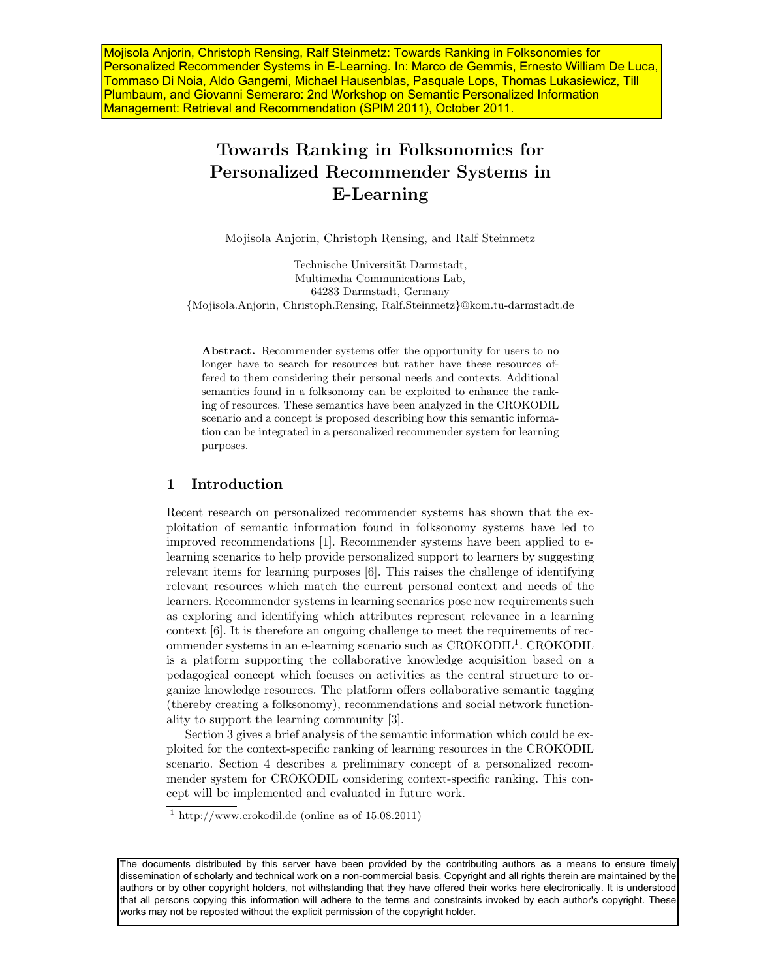Mojisola Anjorin, Christoph Rensing, Ralf Steinmetz: Towards Ranking in Folksonomies for Personalized Recommender Systems in E-Learning. In: Marco de Gemmis, Ernesto William De Luca, Tommaso Di Noia, Aldo Gangemi, Michael Hausenblas, Pasquale Lops, Thomas Lukasiewicz, Till Plumbaum, and Giovanni Semeraro: 2nd Workshop on Semantic Personalized Information Management: Retrieval and Recommendation (SPIM 2011), October 2011.

# Towards Ranking in Folksonomies for Personalized Recommender Systems in E-Learning

Mojisola Anjorin, Christoph Rensing, and Ralf Steinmetz

Technische Universität Darmstadt, Multimedia Communications Lab, 64283 Darmstadt, Germany {Mojisola.Anjorin, Christoph.Rensing, Ralf.Steinmetz}@kom.tu-darmstadt.de

Abstract. Recommender systems offer the opportunity for users to no longer have to search for resources but rather have these resources offered to them considering their personal needs and contexts. Additional semantics found in a folksonomy can be exploited to enhance the ranking of resources. These semantics have been analyzed in the CROKODIL scenario and a concept is proposed describing how this semantic information can be integrated in a personalized recommender system for learning purposes.

## 1 Introduction

Recent research on personalized recommender systems has shown that the exploitation of semantic information found in folksonomy systems have led to improved recommendations [1]. Recommender systems have been applied to elearning scenarios to help provide personalized support to learners by suggesting relevant items for learning purposes [6]. This raises the challenge of identifying relevant resources which match the current personal context and needs of the learners. Recommender systems in learning scenarios pose new requirements such as exploring and identifying which attributes represent relevance in a learning context [6]. It is therefore an ongoing challenge to meet the requirements of recommender systems in an e-learning scenario such as CROKODIL<sup>1</sup>. CROKODIL is a platform supporting the collaborative knowledge acquisition based on a pedagogical concept which focuses on activities as the central structure to organize knowledge resources. The platform offers collaborative semantic tagging (thereby creating a folksonomy), recommendations and social network functionality to support the learning community [3].

Section 3 gives a brief analysis of the semantic information which could be exploited for the context-specific ranking of learning resources in the CROKODIL scenario. Section 4 describes a preliminary concept of a personalized recommender system for CROKODIL considering context-specific ranking. This concept will be implemented and evaluated in future work.

<sup>&</sup>lt;sup>1</sup> http://www.crokodil.de (online as of  $15.08.2011$ )

The documents distributed by this server have been provided by the contributing authors as a means to ensure timely dissemination of scholarly and technical work on a non-commercial basis. Copyright and all rights therein are maintained by the authors or by other copyright holders, not withstanding that they have offered their works here electronically. It is understood that all persons copying this information will adhere to the terms and constraints invoked by each author's copyright. These works may not be reposted without the explicit permission of the copyright holder.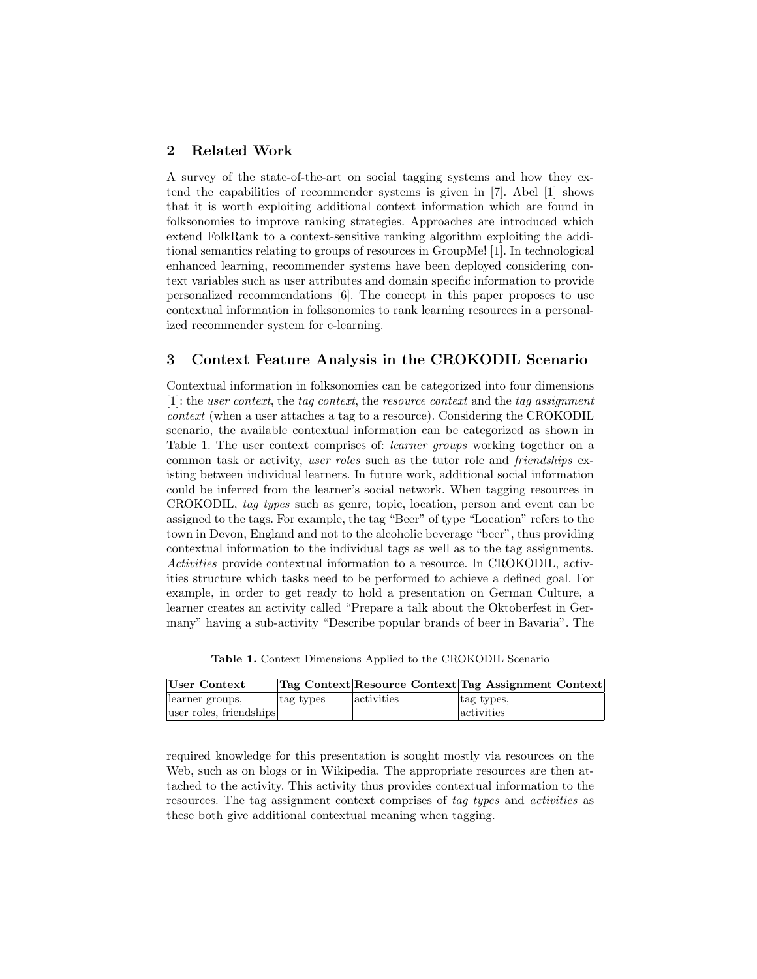## 2 Related Work

A survey of the state-of-the-art on social tagging systems and how they extend the capabilities of recommender systems is given in [7]. Abel [1] shows that it is worth exploiting additional context information which are found in folksonomies to improve ranking strategies. Approaches are introduced which extend FolkRank to a context-sensitive ranking algorithm exploiting the additional semantics relating to groups of resources in GroupMe! [1]. In technological enhanced learning, recommender systems have been deployed considering context variables such as user attributes and domain specific information to provide personalized recommendations [6]. The concept in this paper proposes to use contextual information in folksonomies to rank learning resources in a personalized recommender system for e-learning.

#### 3 Context Feature Analysis in the CROKODIL Scenario

Contextual information in folksonomies can be categorized into four dimensions [1]: the user context, the tag context, the resource context and the tag assignment context (when a user attaches a tag to a resource). Considering the CROKODIL scenario, the available contextual information can be categorized as shown in Table 1. The user context comprises of: *learner groups* working together on a common task or activity, user roles such as the tutor role and friendships existing between individual learners. In future work, additional social information could be inferred from the learner's social network. When tagging resources in CROKODIL, tag types such as genre, topic, location, person and event can be assigned to the tags. For example, the tag "Beer" of type "Location" refers to the town in Devon, England and not to the alcoholic beverage "beer", thus providing contextual information to the individual tags as well as to the tag assignments. Activities provide contextual information to a resource. In CROKODIL, activities structure which tasks need to be performed to achieve a defined goal. For example, in order to get ready to hold a presentation on German Culture, a learner creates an activity called "Prepare a talk about the Oktoberfest in Germany" having a sub-activity "Describe popular brands of beer in Bavaria". The

Table 1. Context Dimensions Applied to the CROKODIL Scenario

| User Context            |           |            | Tag Context Resource Context Tag Assignment Context |
|-------------------------|-----------|------------|-----------------------------------------------------|
| learner groups,         | tag types | activities | tag types,                                          |
| user roles, friendships |           |            | <i>activities</i>                                   |

required knowledge for this presentation is sought mostly via resources on the Web, such as on blogs or in Wikipedia. The appropriate resources are then attached to the activity. This activity thus provides contextual information to the resources. The tag assignment context comprises of tag types and activities as these both give additional contextual meaning when tagging.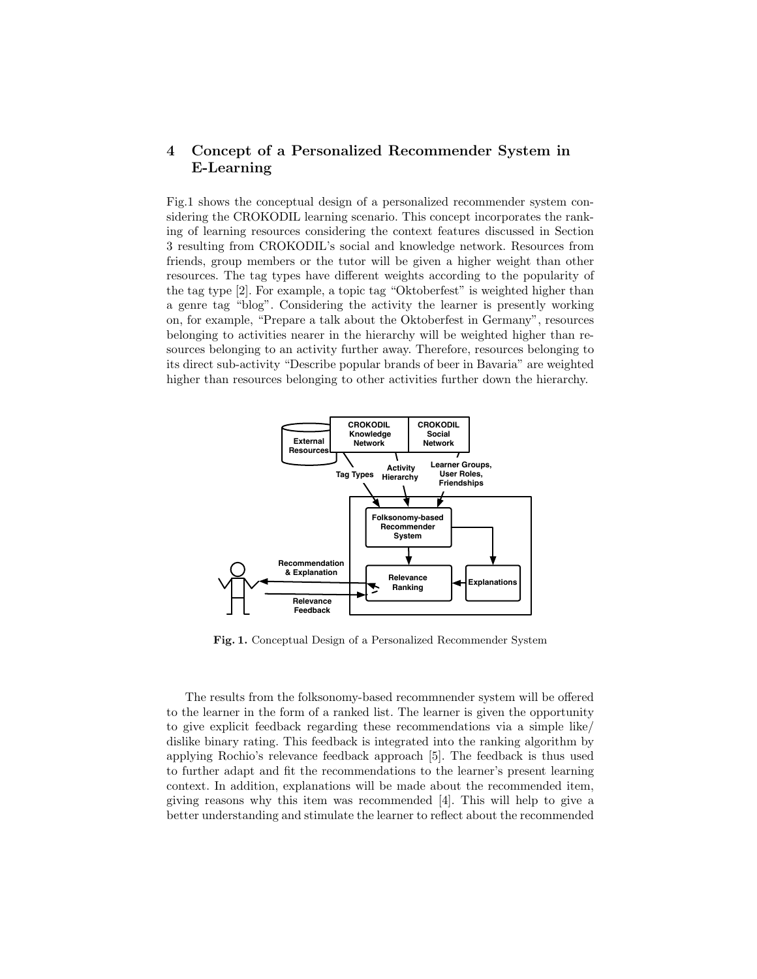# 4 Concept of a Personalized Recommender System in E-Learning

Fig.1 shows the conceptual design of a personalized recommender system considering the CROKODIL learning scenario. This concept incorporates the ranking of learning resources considering the context features discussed in Section 3 resulting from CROKODIL's social and knowledge network. Resources from friends, group members or the tutor will be given a higher weight than other resources. The tag types have different weights according to the popularity of the tag type [2]. For example, a topic tag "Oktoberfest" is weighted higher than a genre tag "blog". Considering the activity the learner is presently working on, for example, "Prepare a talk about the Oktoberfest in Germany", resources belonging to activities nearer in the hierarchy will be weighted higher than resources belonging to an activity further away. Therefore, resources belonging to its direct sub-activity "Describe popular brands of beer in Bavaria" are weighted higher than resources belonging to other activities further down the hierarchy.



Fig. 1. Conceptual Design of a Personalized Recommender System

The results from the folksonomy-based recommnender system will be offered to the learner in the form of a ranked list. The learner is given the opportunity to give explicit feedback regarding these recommendations via a simple like/ dislike binary rating. This feedback is integrated into the ranking algorithm by applying Rochio's relevance feedback approach [5]. The feedback is thus used to further adapt and fit the recommendations to the learner's present learning context. In addition, explanations will be made about the recommended item, giving reasons why this item was recommended [4]. This will help to give a better understanding and stimulate the learner to reflect about the recommended